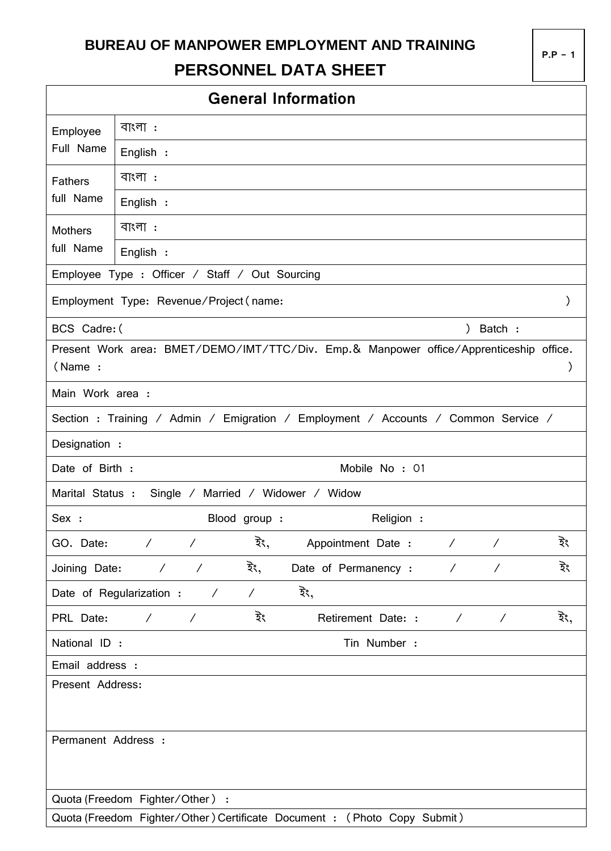## **BUREAU OF MANPOWER EMPLOYMENT AND TRAINING PERSONNEL DATA SHEET**

|                     |                                                      |               | <b>General Information</b>                                                             |            |                          |               |  |  |
|---------------------|------------------------------------------------------|---------------|----------------------------------------------------------------------------------------|------------|--------------------------|---------------|--|--|
| Employee            | বাংলা :                                              |               |                                                                                        |            |                          |               |  |  |
| Full Name           | English :                                            |               |                                                                                        |            |                          |               |  |  |
| <b>Fathers</b>      | বাংলা :                                              |               |                                                                                        |            |                          |               |  |  |
| full Name           | English :                                            |               |                                                                                        |            |                          |               |  |  |
| <b>Mothers</b>      | বাংলা :                                              |               |                                                                                        |            |                          |               |  |  |
| full Name           | English :                                            |               |                                                                                        |            |                          |               |  |  |
|                     | Employee Type : Officer / Staff / Out Sourcing       |               |                                                                                        |            |                          |               |  |  |
|                     | Employment Type: Revenue/Project (name:              |               |                                                                                        |            |                          | $\mathcal{C}$ |  |  |
| BCS Cadre: (        |                                                      |               |                                                                                        | $\lambda$  | Batch :                  |               |  |  |
| (Name:              |                                                      |               | Present Work area: BMET/DEMO/IMT/TTC/Div. Emp.& Manpower office/Apprenticeship office. |            |                          |               |  |  |
| Main Work area :    |                                                      |               |                                                                                        |            |                          |               |  |  |
|                     |                                                      |               | Section: Training / Admin / Emigration / Employment / Accounts / Common Service /      |            |                          |               |  |  |
| Designation :       |                                                      |               |                                                                                        |            |                          |               |  |  |
| Date of Birth :     |                                                      |               | Mobile No: 01                                                                          |            |                          |               |  |  |
| Marital Status :    |                                                      |               | Single / Married / Widower / Widow                                                     |            |                          |               |  |  |
| Sex :               |                                                      | Blood group : | Religion :                                                                             |            |                          |               |  |  |
| GO. Date:           | $\overline{1}$<br>$\overline{\phantom{a}}$           | ইং,           | Appointment Date :                                                                     | $\sqrt{2}$ | $\overline{\phantom{a}}$ | ইং            |  |  |
| Joining Date:       | $\sqrt{2}$<br>$\overline{\phantom{a}}$               | ইং,           | Date of Permanency :                                                                   | $\sqrt{2}$ | $\overline{\phantom{a}}$ | ইং            |  |  |
|                     | Date of Regularization :<br>$\overline{\phantom{a}}$ | $\sqrt{2}$    | ইং,                                                                                    |            |                          |               |  |  |
| PRL Date:           | $\overline{\phantom{a}}$<br>$\overline{\phantom{a}}$ | ইং            | Retirement Date: :                                                                     | $\sqrt{2}$ | $\overline{\phantom{a}}$ | ইং,           |  |  |
|                     | National ID :<br>Tin Number :                        |               |                                                                                        |            |                          |               |  |  |
| Email address :     |                                                      |               |                                                                                        |            |                          |               |  |  |
| Present Address:    |                                                      |               |                                                                                        |            |                          |               |  |  |
| Permanent Address : |                                                      |               |                                                                                        |            |                          |               |  |  |
|                     | Quota (Freedom Fighter/Other) :                      |               |                                                                                        |            |                          |               |  |  |

Quota (Freedom Fighter/Other)Certificate Document : (Photo Copy Submit)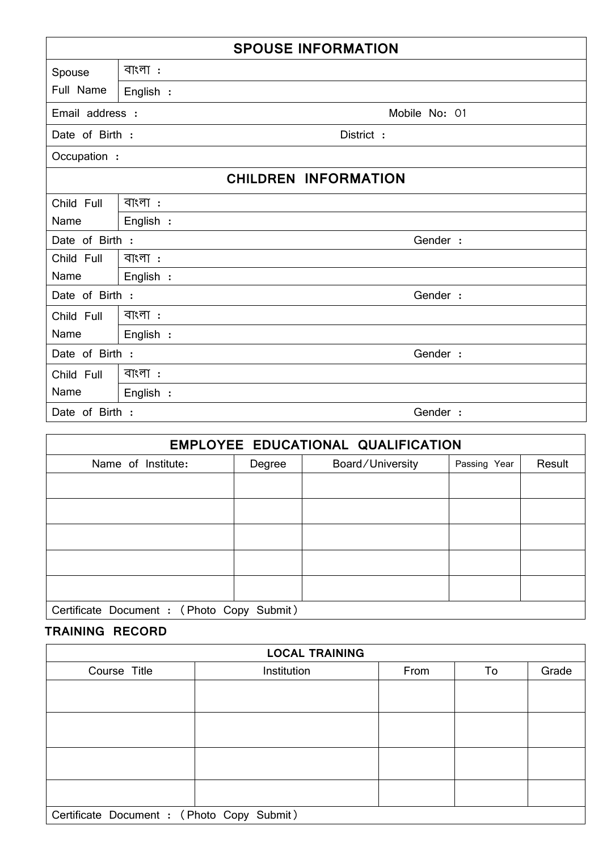| <b>SPOUSE INFORMATION</b> |             |                             |  |  |  |  |  |
|---------------------------|-------------|-----------------------------|--|--|--|--|--|
| Spouse                    | বাংলা:      |                             |  |  |  |  |  |
| Full Name                 | English :   |                             |  |  |  |  |  |
| Email address :           |             | Mobile No: 01               |  |  |  |  |  |
| Date of Birth :           |             | District :                  |  |  |  |  |  |
| Occupation :              |             |                             |  |  |  |  |  |
|                           |             | <b>CHILDREN INFORMATION</b> |  |  |  |  |  |
| Child Full                | $\exists$ । |                             |  |  |  |  |  |
| Name                      | English :   |                             |  |  |  |  |  |
| Date of Birth :           |             | Gender :                    |  |  |  |  |  |
| Child Full                | বাংলা:      |                             |  |  |  |  |  |
| Name                      | English :   |                             |  |  |  |  |  |
| Date of Birth :           |             | Gender :                    |  |  |  |  |  |
| Child Full                | বাংলা:      |                             |  |  |  |  |  |
| Name                      | English :   |                             |  |  |  |  |  |
| Date of Birth :           |             | Gender :                    |  |  |  |  |  |
| Child Full                | বাংলা :     |                             |  |  |  |  |  |
| Name                      | English :   |                             |  |  |  |  |  |
| Date of Birth :           |             | Gender :                    |  |  |  |  |  |

| EMPLOYEE EDUCATIONAL QUALIFICATION         |        |                  |              |        |  |  |  |  |
|--------------------------------------------|--------|------------------|--------------|--------|--|--|--|--|
| Name of Institute:                         | Degree | Board/University | Passing Year | Result |  |  |  |  |
|                                            |        |                  |              |        |  |  |  |  |
|                                            |        |                  |              |        |  |  |  |  |
|                                            |        |                  |              |        |  |  |  |  |
|                                            |        |                  |              |        |  |  |  |  |
|                                            |        |                  |              |        |  |  |  |  |
| Certificate Document : (Photo Copy Submit) |        |                  |              |        |  |  |  |  |

## **TRAINING RECORD**

| <b>LOCAL TRAINING</b>                      |             |      |    |       |  |  |  |  |  |  |
|--------------------------------------------|-------------|------|----|-------|--|--|--|--|--|--|
| Course Title                               | Institution | From | To | Grade |  |  |  |  |  |  |
|                                            |             |      |    |       |  |  |  |  |  |  |
|                                            |             |      |    |       |  |  |  |  |  |  |
|                                            |             |      |    |       |  |  |  |  |  |  |
|                                            |             |      |    |       |  |  |  |  |  |  |
|                                            |             |      |    |       |  |  |  |  |  |  |
|                                            |             |      |    |       |  |  |  |  |  |  |
|                                            |             |      |    |       |  |  |  |  |  |  |
|                                            |             |      |    |       |  |  |  |  |  |  |
| Certificate Document : (Photo Copy Submit) |             |      |    |       |  |  |  |  |  |  |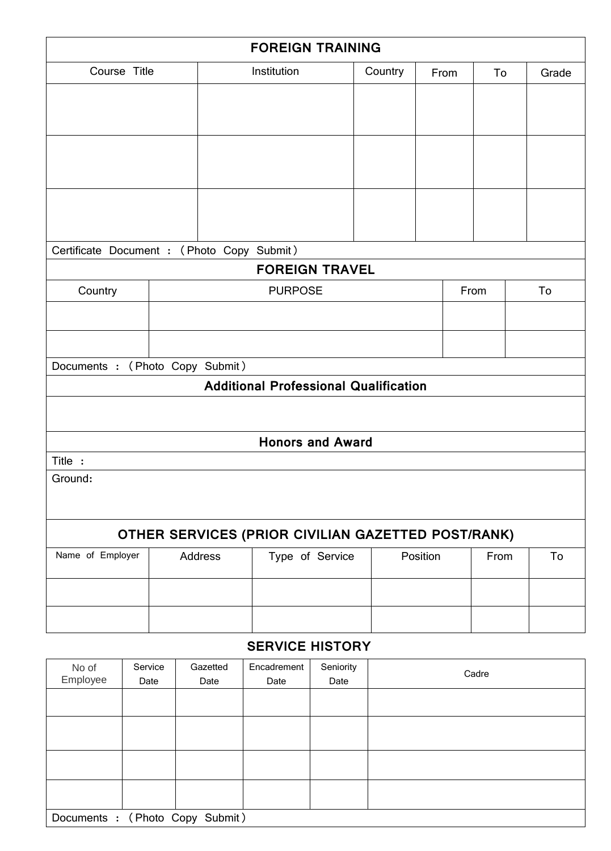| <b>FOREIGN TRAINING</b>                            |  |                                        |                                              |         |      |  |      |    |       |
|----------------------------------------------------|--|----------------------------------------|----------------------------------------------|---------|------|--|------|----|-------|
| Course Title                                       |  |                                        | Institution                                  | Country | From |  | To   |    | Grade |
|                                                    |  |                                        |                                              |         |      |  |      |    |       |
|                                                    |  |                                        |                                              |         |      |  |      |    |       |
|                                                    |  |                                        |                                              |         |      |  |      |    |       |
|                                                    |  |                                        |                                              |         |      |  |      |    |       |
|                                                    |  |                                        |                                              |         |      |  |      |    |       |
|                                                    |  |                                        |                                              |         |      |  |      |    |       |
| Certificate Document : (Photo Copy Submit)         |  |                                        |                                              |         |      |  |      |    |       |
|                                                    |  |                                        | <b>FOREIGN TRAVEL</b>                        |         |      |  |      |    |       |
| Country                                            |  | <b>PURPOSE</b>                         |                                              |         | From |  |      | To |       |
|                                                    |  |                                        |                                              |         |      |  |      |    |       |
|                                                    |  |                                        |                                              |         |      |  |      |    |       |
| Documents : (Photo Copy Submit)                    |  |                                        |                                              |         |      |  |      |    |       |
|                                                    |  |                                        | <b>Additional Professional Qualification</b> |         |      |  |      |    |       |
|                                                    |  |                                        |                                              |         |      |  |      |    |       |
|                                                    |  |                                        | <b>Honors and Award</b>                      |         |      |  |      |    |       |
| Title :                                            |  |                                        |                                              |         |      |  |      |    |       |
| Ground:                                            |  |                                        |                                              |         |      |  |      |    |       |
|                                                    |  |                                        |                                              |         |      |  |      |    |       |
| OTHER SERVICES (PRIOR CIVILIAN GAZETTED POST/RANK) |  |                                        |                                              |         |      |  |      |    |       |
| Name of Employer                                   |  | Address<br>Position<br>Type of Service |                                              |         |      |  | From |    | To    |
|                                                    |  |                                        |                                              |         |      |  |      |    |       |
|                                                    |  |                                        |                                              |         |      |  |      |    |       |
|                                                    |  |                                        |                                              |         |      |  |      |    |       |

## **SERVICE HISTORY**

| No of                           | Service | Gazetted | Encadrement | Seniority | Cadre |  |  |
|---------------------------------|---------|----------|-------------|-----------|-------|--|--|
| Employee                        | Date    | Date     | Date        | Date      |       |  |  |
|                                 |         |          |             |           |       |  |  |
|                                 |         |          |             |           |       |  |  |
|                                 |         |          |             |           |       |  |  |
|                                 |         |          |             |           |       |  |  |
|                                 |         |          |             |           |       |  |  |
|                                 |         |          |             |           |       |  |  |
|                                 |         |          |             |           |       |  |  |
|                                 |         |          |             |           |       |  |  |
| Documents : (Photo Copy Submit) |         |          |             |           |       |  |  |